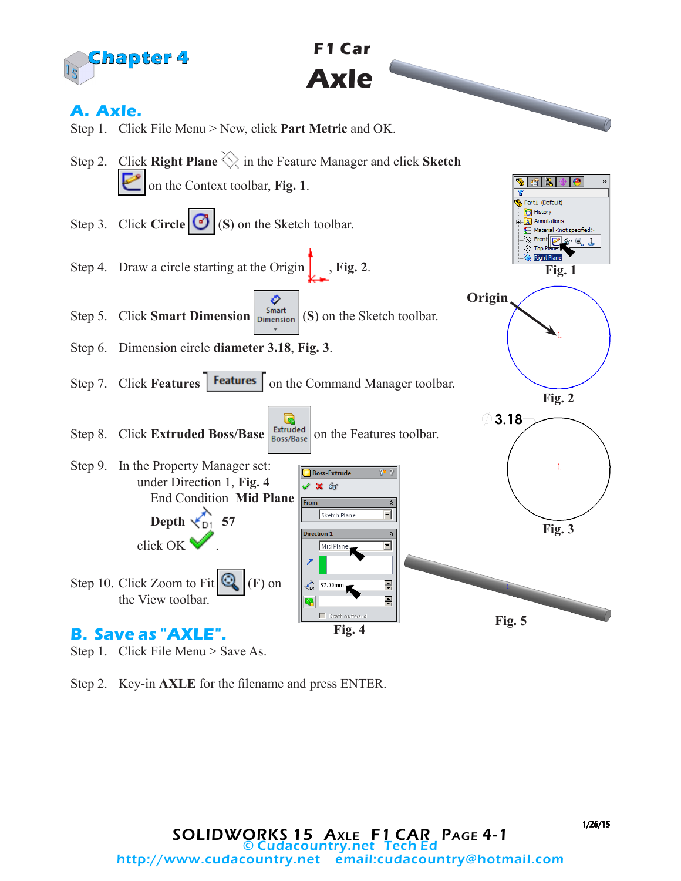

Step 1. Click File Menu > Save As.

Step 2. Key-in **AXLE** for the filename and press ENTER.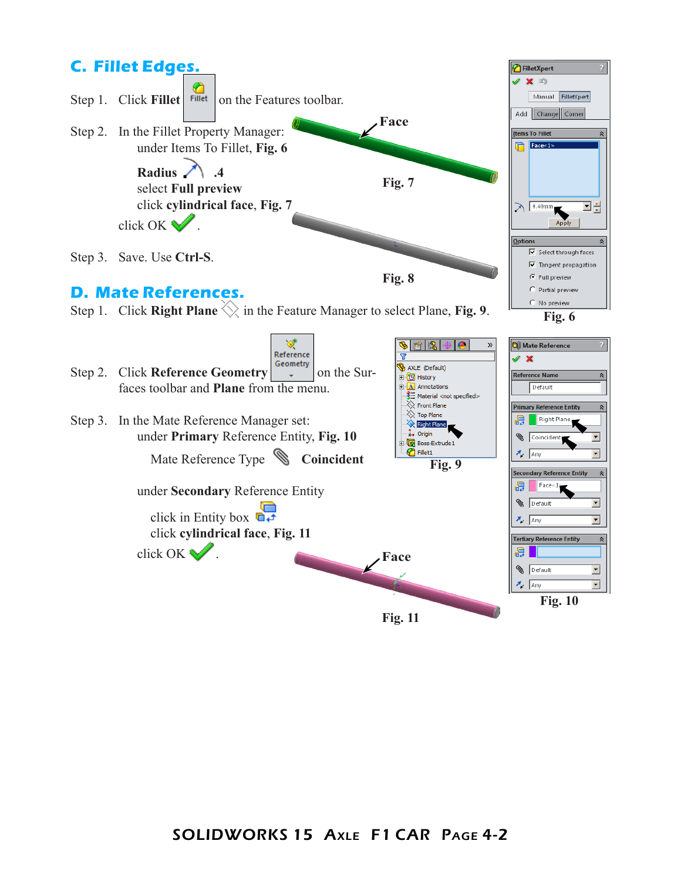